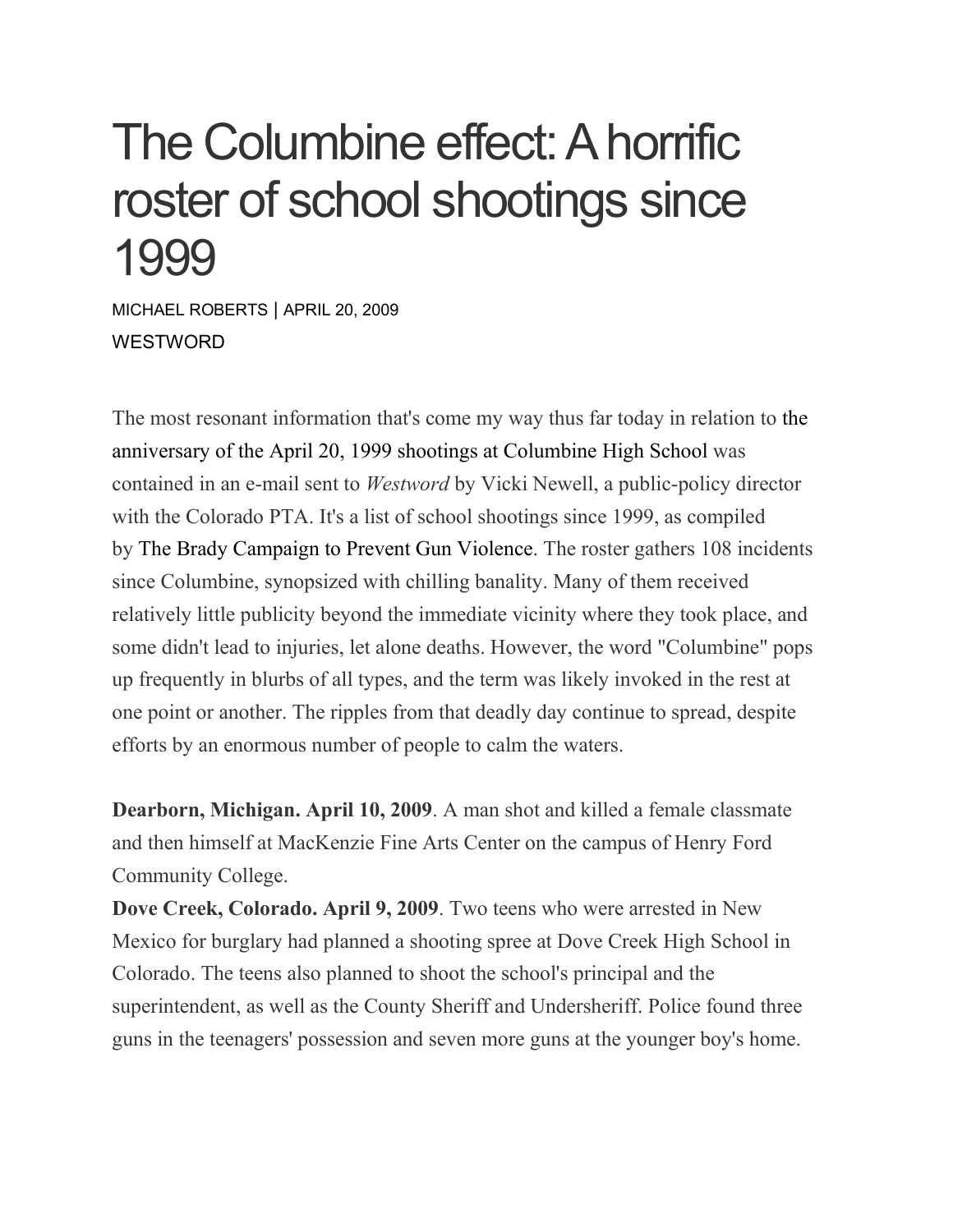## The Columbine effect: A horrific roster of school shootings since 1999

MICHAEL [ROBERTS](https://www.westword.com/authors/michael-roberts-5052718) | APRIL 20, 2009 **WESTWORD** 

The most resonant information that's come my way thus far today in relation to [the](http://blogs.westword.com/latestword/2009/04/columbine_tenth_anniversary_co.php) [anniversary](http://blogs.westword.com/latestword/2009/04/columbine_tenth_anniversary_co.php) of the April 20, 1999 shootings at Columbine High School was contained in an e-mail sent to *Westword* by Vicki Newell, a public-policy director with the Colorado PTA. It's a list of school shootings since 1999, as compiled by The Brady [Campaign](http://www.bradycampaign.org/) to Prevent Gun Violence. The roster gathers 108 incidents since Columbine, synopsized with chilling banality. Many of them received relatively little publicity beyond the immediate vicinity where they took place, and some didn't lead to injuries, let alone deaths. However, the word "Columbine" pops up frequently in blurbs of all types, and the term was likely invoked in the rest at one point or another. The ripples from that deadly day continue to spread, despite efforts by an enormous number of people to calm the waters.

**Dearborn, Michigan. April 10, 2009**. A man shot and killed a female classmate and then himself at MacKenzie Fine Arts Center on the campus of Henry Ford Community College.

**Dove Creek, Colorado. April 9, 2009**. Two teens who were arrested in New Mexico for burglary had planned a shooting spree at Dove Creek High School in Colorado. The teens also planned to shoot the school's principal and the superintendent, as well as the County Sheriff and Undersheriff. Police found three guns in the teenagers' possession and seven more guns at the younger boy's home.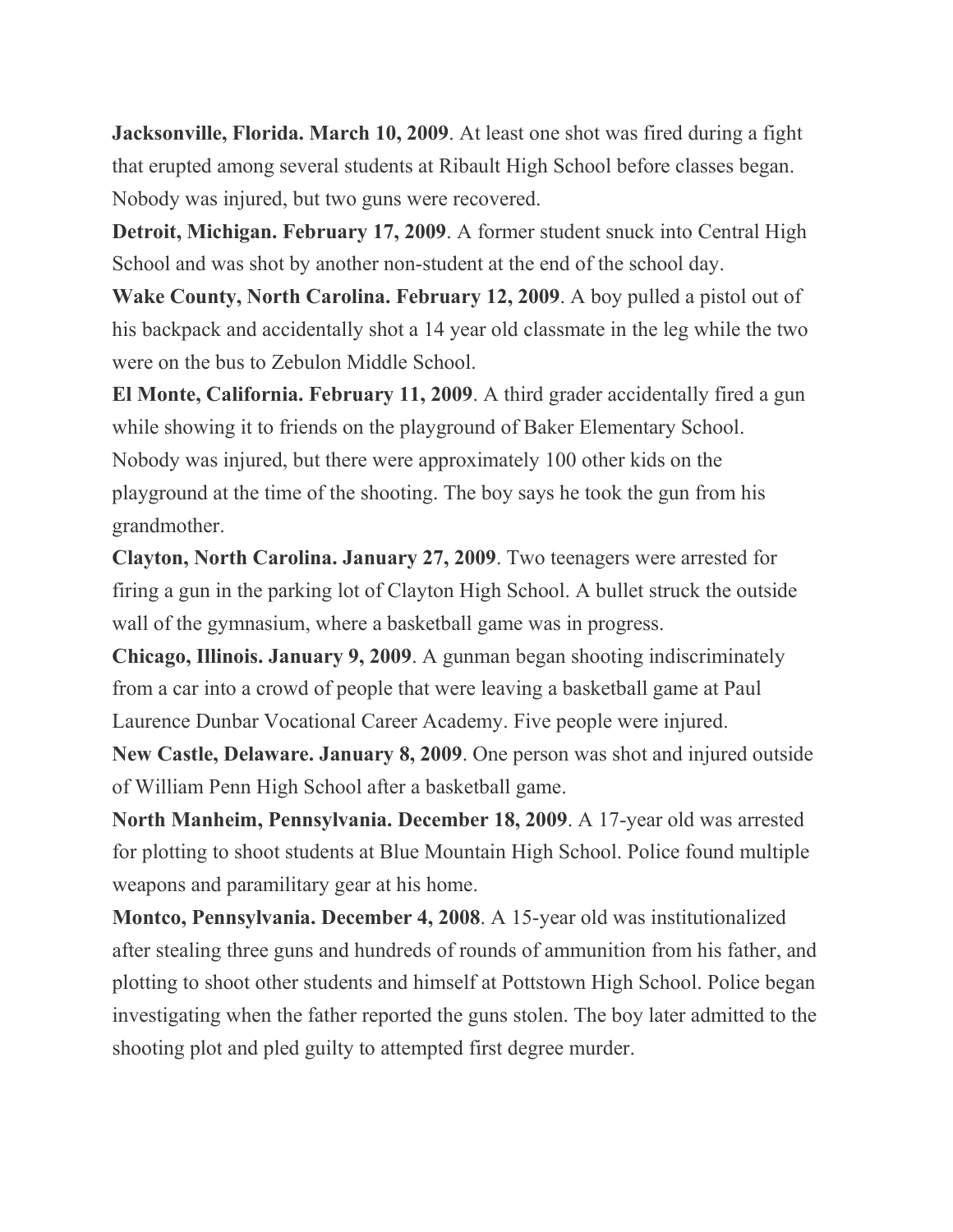**Jacksonville, Florida. March 10, 2009**. At least one shot was fired during a fight that erupted among several students at Ribault High School before classes began. Nobody was injured, but two guns were recovered.

**Detroit, Michigan. February 17, 2009**. A former student snuck into Central High School and was shot by another non-student at the end of the school day.

**Wake County, North Carolina. February 12, 2009**. A boy pulled a pistol out of his backpack and accidentally shot a 14 year old classmate in the leg while the two were on the bus to Zebulon Middle School.

**El Monte, California. February 11, 2009**. A third grader accidentally fired a gun while showing it to friends on the playground of Baker Elementary School. Nobody was injured, but there were approximately 100 other kids on the playground at the time of the shooting. The boy says he took the gun from his grandmother.

**Clayton, North Carolina. January 27, 2009**. Two teenagers were arrested for firing a gun in the parking lot of Clayton High School. A bullet struck the outside wall of the gymnasium, where a basketball game was in progress.

**Chicago, Illinois. January 9, 2009**. A gunman began shooting indiscriminately from a car into a crowd of people that were leaving a basketball game at Paul Laurence Dunbar Vocational Career Academy. Five people were injured.

**New Castle, Delaware. January 8, 2009**. One person was shot and injured outside of William Penn High School after a basketball game.

**North Manheim, Pennsylvania. December 18, 2009**. A 17-year old was arrested for plotting to shoot students at Blue Mountain High School. Police found multiple weapons and paramilitary gear at his home.

**Montco, Pennsylvania. December 4, 2008**. A 15-year old was institutionalized after stealing three guns and hundreds of rounds of ammunition from his father, and plotting to shoot other students and himself at Pottstown High School. Police began investigating when the father reported the guns stolen. The boy later admitted to the shooting plot and pled guilty to attempted first degree murder.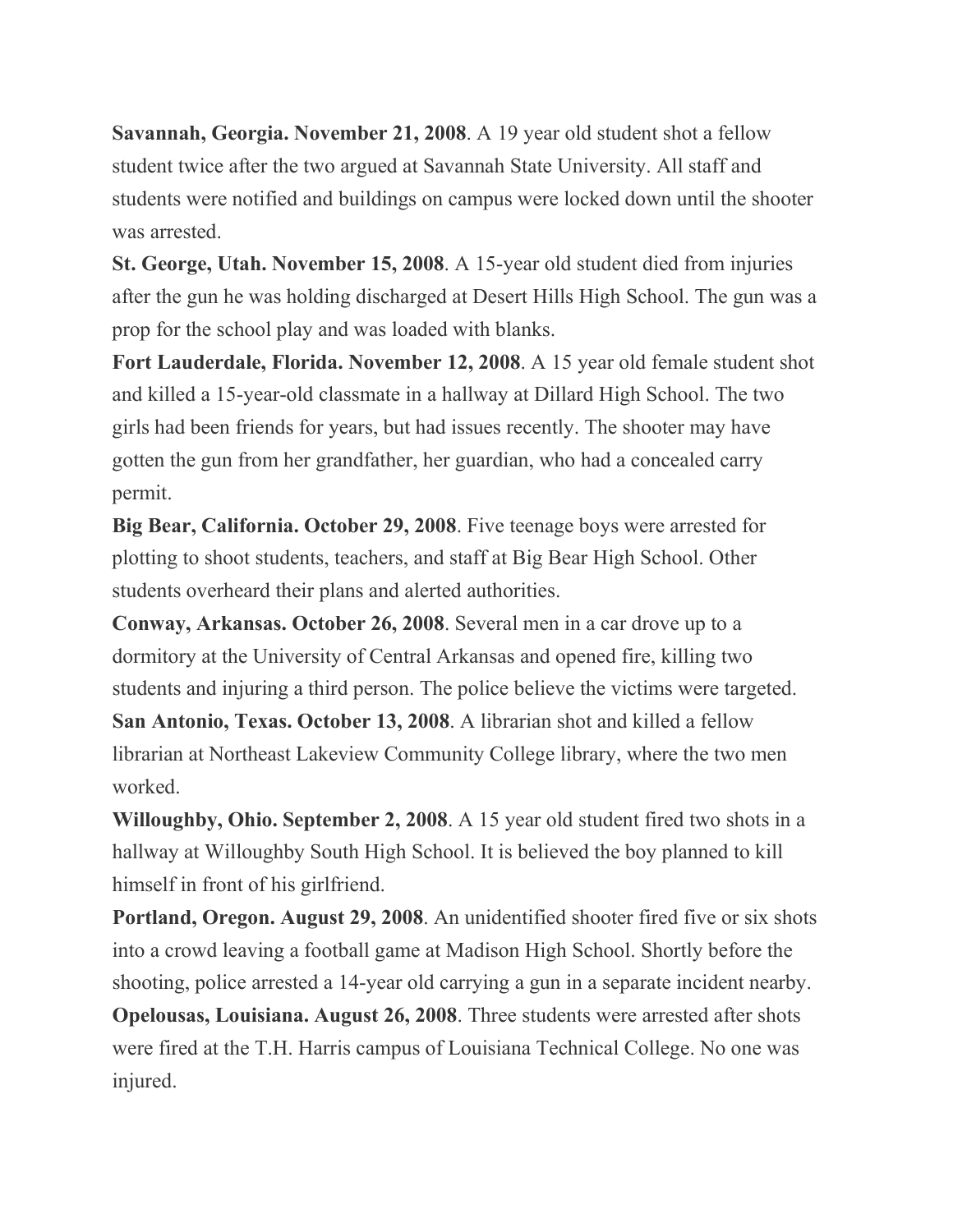**Savannah, Georgia. November 21, 2008**. A 19 year old student shot a fellow student twice after the two argued at Savannah State University. All staff and students were notified and buildings on campus were locked down until the shooter was arrested.

**St. George, Utah. November 15, 2008**. A 15-year old student died from injuries after the gun he was holding discharged at Desert Hills High School. The gun was a prop for the school play and was loaded with blanks.

**Fort Lauderdale, Florida. November 12, 2008**. A 15 year old female student shot and killed a 15-year-old classmate in a hallway at Dillard High School. The two girls had been friends for years, but had issues recently. The shooter may have gotten the gun from her grandfather, her guardian, who had a concealed carry permit.

**Big Bear, California. October 29, 2008**. Five teenage boys were arrested for plotting to shoot students, teachers, and staff at Big Bear High School. Other students overheard their plans and alerted authorities.

**Conway, Arkansas. October 26, 2008**. Several men in a car drove up to a dormitory at the University of Central Arkansas and opened fire, killing two students and injuring a third person. The police believe the victims were targeted. **San Antonio, Texas. October 13, 2008**. A librarian shot and killed a fellow librarian at Northeast Lakeview Community College library, where the two men worked.

**Willoughby, Ohio. September 2, 2008**. A 15 year old student fired two shots in a hallway at Willoughby South High School. It is believed the boy planned to kill himself in front of his girlfriend.

**Portland, Oregon. August 29, 2008**. An unidentified shooter fired five or six shots into a crowd leaving a football game at Madison High School. Shortly before the shooting, police arrested a 14-year old carrying a gun in a separate incident nearby. **Opelousas, Louisiana. August 26, 2008**. Three students were arrested after shots were fired at the T.H. Harris campus of Louisiana Technical College. No one was injured.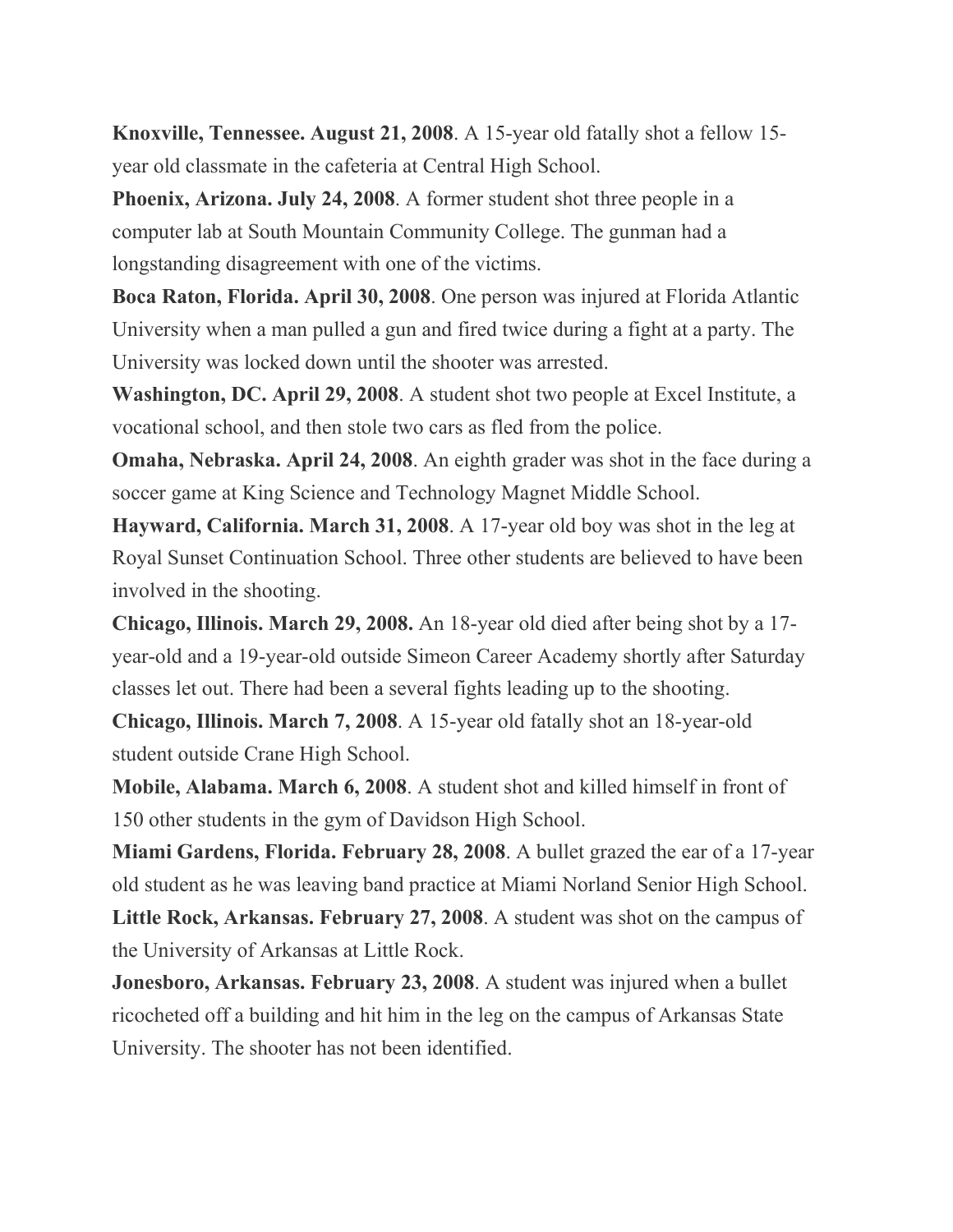**Knoxville, Tennessee. August 21, 2008**. A 15-year old fatally shot a fellow 15 year old classmate in the cafeteria at Central High School.

**Phoenix, Arizona. July 24, 2008**. A former student shot three people in a computer lab at South Mountain Community College. The gunman had a longstanding disagreement with one of the victims.

**Boca Raton, Florida. April 30, 2008**. One person was injured at Florida Atlantic University when a man pulled a gun and fired twice during a fight at a party. The University was locked down until the shooter was arrested.

**Washington, DC. April 29, 2008**. A student shot two people at Excel Institute, a vocational school, and then stole two cars as fled from the police.

**Omaha, Nebraska. April 24, 2008**. An eighth grader was shot in the face during a soccer game at King Science and Technology Magnet Middle School.

**Hayward, California. March 31, 2008**. A 17-year old boy was shot in the leg at Royal Sunset Continuation School. Three other students are believed to have been involved in the shooting.

**Chicago, Illinois. March 29, 2008.** An 18-year old died after being shot by a 17 year-old and a 19-year-old outside Simeon Career Academy shortly after Saturday classes let out. There had been a several fights leading up to the shooting.

**Chicago, Illinois. March 7, 2008**. A 15-year old fatally shot an 18-year-old student outside Crane High School.

**Mobile, Alabama. March 6, 2008**. A student shot and killed himself in front of 150 other students in the gym of Davidson High School.

**Miami Gardens, Florida. February 28, 2008**. A bullet grazed the ear of a 17-year old student as he was leaving band practice at Miami Norland Senior High School.

**Little Rock, Arkansas. February 27, 2008**. A student was shot on the campus of the University of Arkansas at Little Rock.

**Jonesboro, Arkansas. February 23, 2008**. A student was injured when a bullet ricocheted off a building and hit him in the leg on the campus of Arkansas State University. The shooter has not been identified.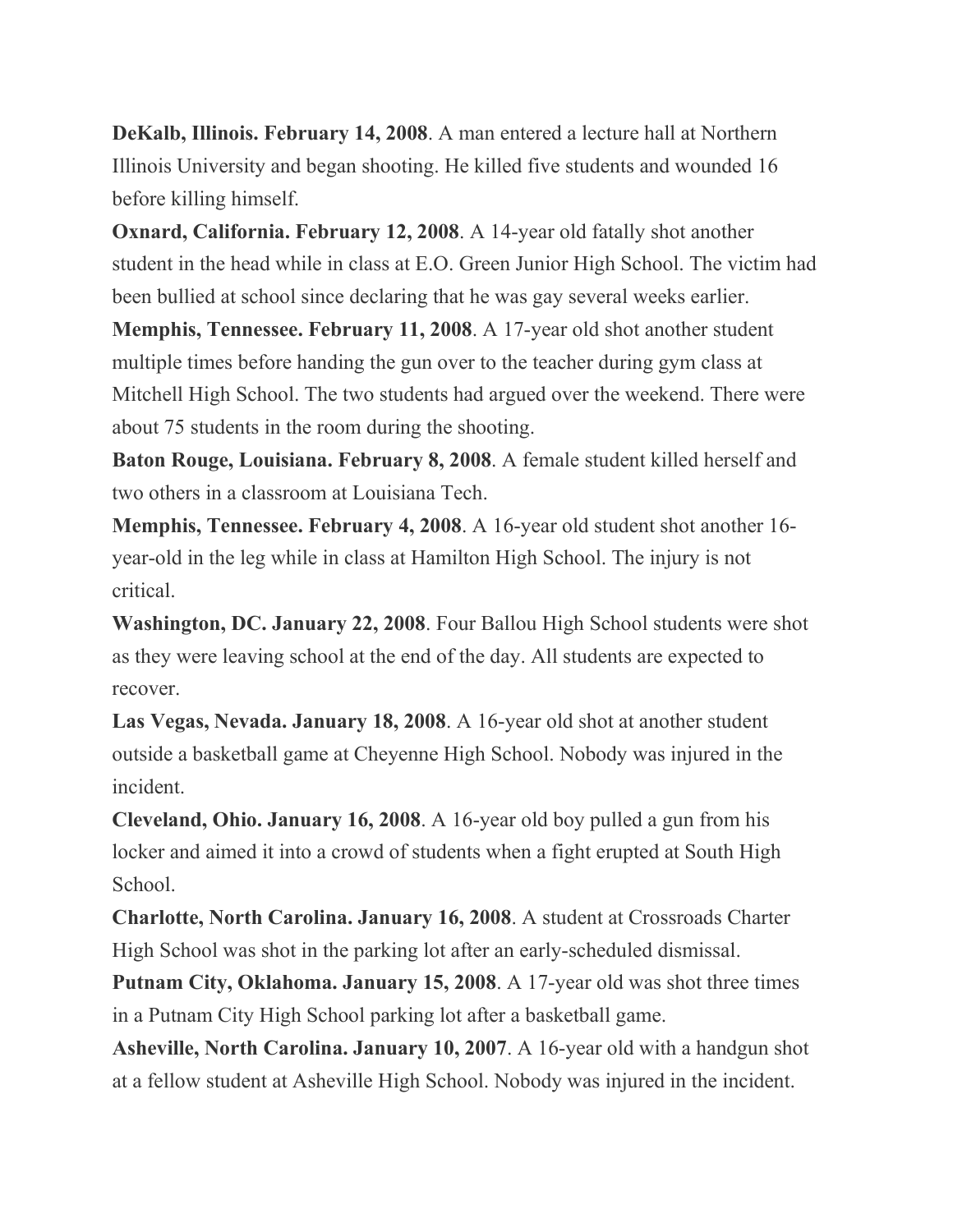**DeKalb, Illinois. February 14, 2008**. A man entered a lecture hall at Northern Illinois University and began shooting. He killed five students and wounded 16 before killing himself.

**Oxnard, California. February 12, 2008**. A 14-year old fatally shot another student in the head while in class at E.O. Green Junior High School. The victim had been bullied at school since declaring that he was gay several weeks earlier.

**Memphis, Tennessee. February 11, 2008**. A 17-year old shot another student multiple times before handing the gun over to the teacher during gym class at Mitchell High School. The two students had argued over the weekend. There were about 75 students in the room during the shooting.

**Baton Rouge, Louisiana. February 8, 2008**. A female student killed herself and two others in a classroom at Louisiana Tech.

**Memphis, Tennessee. February 4, 2008**. A 16-year old student shot another 16 year-old in the leg while in class at Hamilton High School. The injury is not critical.

**Washington, DC. January 22, 2008**. Four Ballou High School students were shot as they were leaving school at the end of the day. All students are expected to recover.

**Las Vegas, Nevada. January 18, 2008**. A 16-year old shot at another student outside a basketball game at Cheyenne High School. Nobody was injured in the incident.

**Cleveland, Ohio. January 16, 2008**. A 16-year old boy pulled a gun from his locker and aimed it into a crowd of students when a fight erupted at South High School.

**Charlotte, North Carolina. January 16, 2008**. A student at Crossroads Charter High School was shot in the parking lot after an early-scheduled dismissal.

**Putnam City, Oklahoma. January 15, 2008**. A 17-year old was shot three times in a Putnam City High School parking lot after a basketball game.

**Asheville, North Carolina. January 10, 2007**. A 16-year old with a handgun shot at a fellow student at Asheville High School. Nobody was injured in the incident.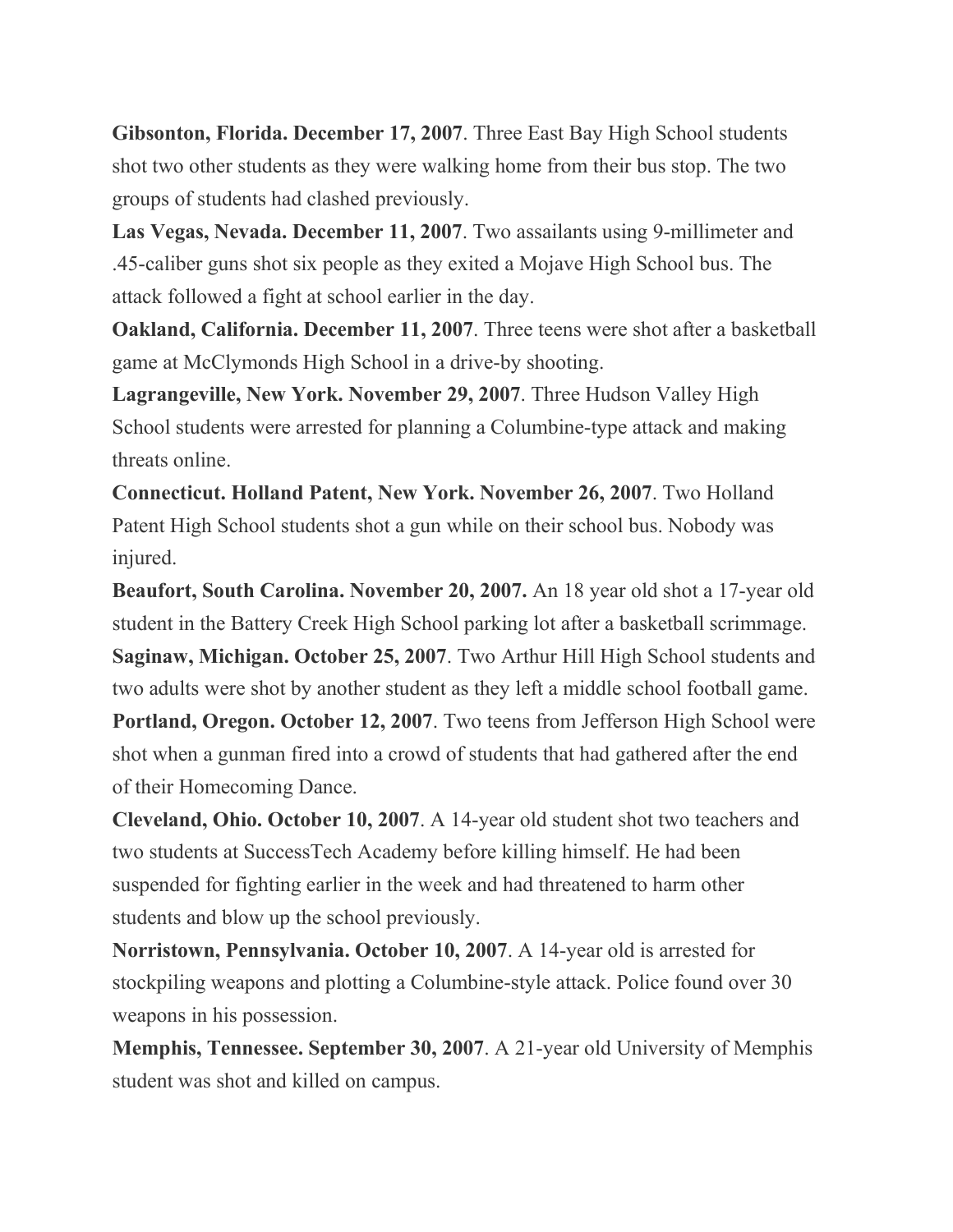**Gibsonton, Florida. December 17, 2007**. Three East Bay High School students shot two other students as they were walking home from their bus stop. The two groups of students had clashed previously.

**Las Vegas, Nevada. December 11, 2007**. Two assailants using 9-millimeter and .45-caliber guns shot six people as they exited a Mojave High School bus. The attack followed a fight at school earlier in the day.

**Oakland, California. December 11, 2007**. Three teens were shot after a basketball game at McClymonds High School in a drive-by shooting.

**Lagrangeville, New York. November 29, 2007**. Three Hudson Valley High School students were arrested for planning a Columbine-type attack and making threats online.

**Connecticut. Holland Patent, New York. November 26, 2007**. Two Holland Patent High School students shot a gun while on their school bus. Nobody was injured.

**Beaufort, South Carolina. November 20, 2007.** An 18 year old shot a 17-year old student in the Battery Creek High School parking lot after a basketball scrimmage. **Saginaw, Michigan. October 25, 2007**. Two Arthur Hill High School students and two adults were shot by another student as they left a middle school football game.

**Portland, Oregon. October 12, 2007**. Two teens from Jefferson High School were shot when a gunman fired into a crowd of students that had gathered after the end of their Homecoming Dance.

**Cleveland, Ohio. October 10, 2007**. A 14-year old student shot two teachers and two students at SuccessTech Academy before killing himself. He had been suspended for fighting earlier in the week and had threatened to harm other students and blow up the school previously.

**Norristown, Pennsylvania. October 10, 2007**. A 14-year old is arrested for stockpiling weapons and plotting a Columbine-style attack. Police found over 30 weapons in his possession.

**Memphis, Tennessee. September 30, 2007**. A 21-year old University of Memphis student was shot and killed on campus.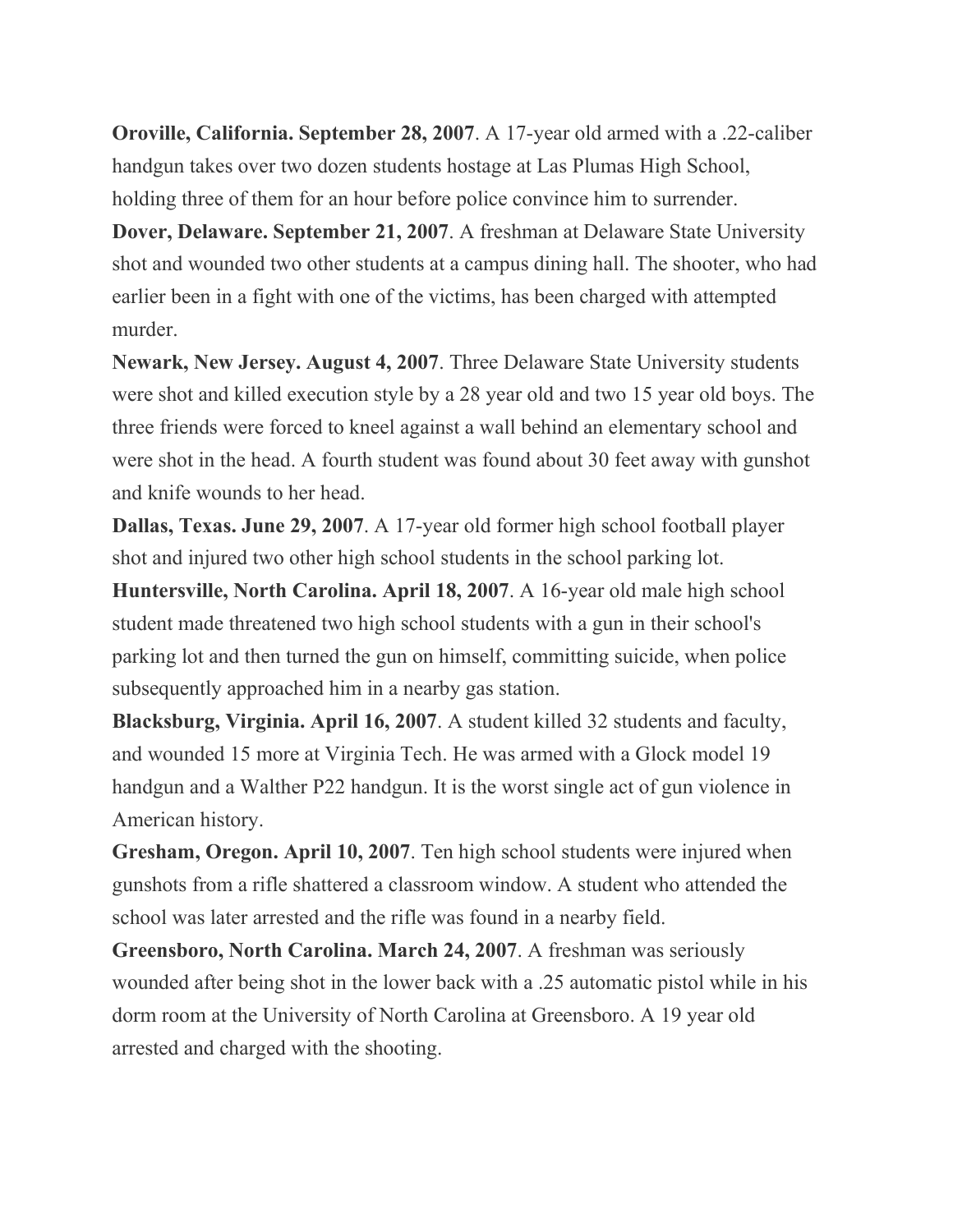**Oroville, California. September 28, 2007**. A 17-year old armed with a .22-caliber handgun takes over two dozen students hostage at Las Plumas High School, holding three of them for an hour before police convince him to surrender.

**Dover, Delaware. September 21, 2007**. A freshman at Delaware State University shot and wounded two other students at a campus dining hall. The shooter, who had earlier been in a fight with one of the victims, has been charged with attempted murder.

**Newark, New Jersey. August 4, 2007**. Three Delaware State University students were shot and killed execution style by a 28 year old and two 15 year old boys. The three friends were forced to kneel against a wall behind an elementary school and were shot in the head. A fourth student was found about 30 feet away with gunshot and knife wounds to her head.

**Dallas, Texas. June 29, 2007**. A 17-year old former high school football player shot and injured two other high school students in the school parking lot.

**Huntersville, North Carolina. April 18, 2007**. A 16-year old male high school student made threatened two high school students with a gun in their school's parking lot and then turned the gun on himself, committing suicide, when police subsequently approached him in a nearby gas station.

**Blacksburg, Virginia. April 16, 2007**. A student killed 32 students and faculty, and wounded 15 more at Virginia Tech. He was armed with a Glock model 19 handgun and a Walther P22 handgun. It is the worst single act of gun violence in American history.

**Gresham, Oregon. April 10, 2007**. Ten high school students were injured when gunshots from a rifle shattered a classroom window. A student who attended the school was later arrested and the rifle was found in a nearby field.

**Greensboro, North Carolina. March 24, 2007**. A freshman was seriously wounded after being shot in the lower back with a .25 automatic pistol while in his dorm room at the University of North Carolina at Greensboro. A 19 year old arrested and charged with the shooting.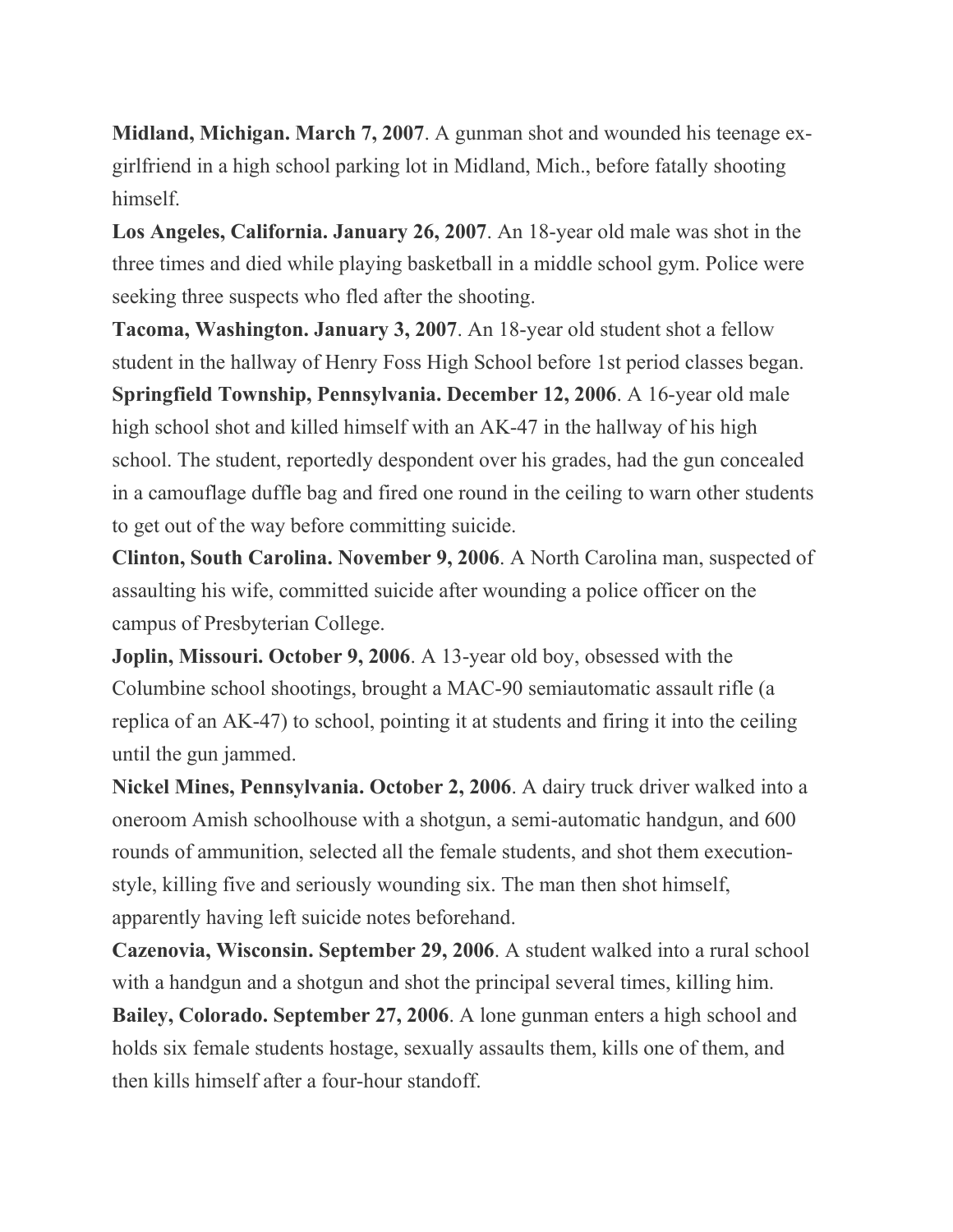**Midland, Michigan. March 7, 2007**. A gunman shot and wounded his teenage exgirlfriend in a high school parking lot in Midland, Mich., before fatally shooting himself.

**Los Angeles, California. January 26, 2007**. An 18-year old male was shot in the three times and died while playing basketball in a middle school gym. Police were seeking three suspects who fled after the shooting.

**Tacoma, Washington. January 3, 2007**. An 18-year old student shot a fellow student in the hallway of Henry Foss High School before 1st period classes began. **Springfield Township, Pennsylvania. December 12, 2006**. A 16-year old male high school shot and killed himself with an AK-47 in the hallway of his high school. The student, reportedly despondent over his grades, had the gun concealed in a camouflage duffle bag and fired one round in the ceiling to warn other students to get out of the way before committing suicide.

**Clinton, South Carolina. November 9, 2006**. A North Carolina man, suspected of assaulting his wife, committed suicide after wounding a police officer on the campus of Presbyterian College.

**Joplin, Missouri. October 9, 2006**. A 13-year old boy, obsessed with the Columbine school shootings, brought a MAC-90 semiautomatic assault rifle (a replica of an AK-47) to school, pointing it at students and firing it into the ceiling until the gun jammed.

**Nickel Mines, Pennsylvania. October 2, 2006**. A dairy truck driver walked into a oneroom Amish schoolhouse with a shotgun, a semi-automatic handgun, and 600 rounds of ammunition, selected all the female students, and shot them executionstyle, killing five and seriously wounding six. The man then shot himself, apparently having left suicide notes beforehand.

**Cazenovia, Wisconsin. September 29, 2006**. A student walked into a rural school with a handgun and a shotgun and shot the principal several times, killing him. **Bailey, Colorado. September 27, 2006**. A lone gunman enters a high school and holds six female students hostage, sexually assaults them, kills one of them, and then kills himself after a four-hour standoff.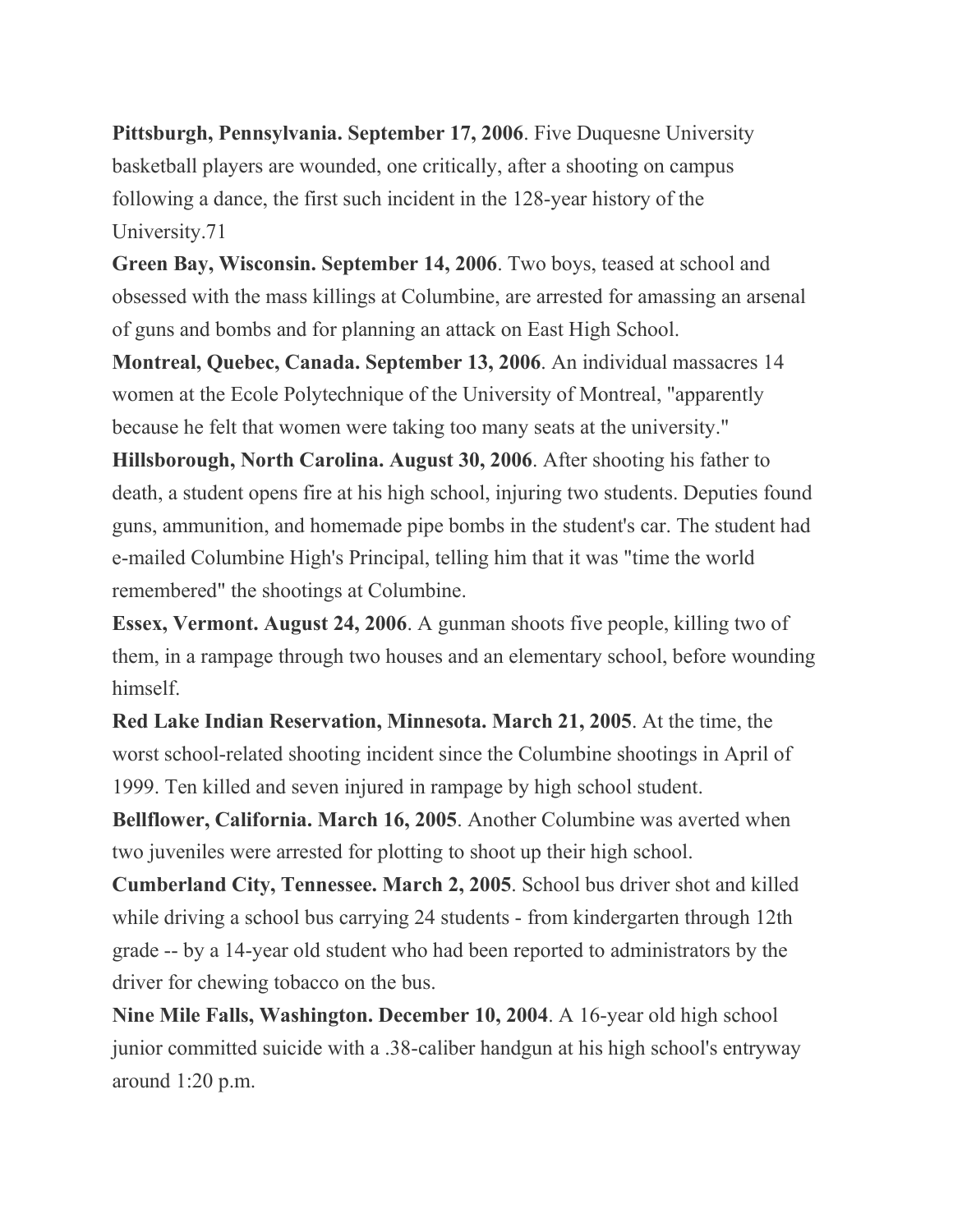**Pittsburgh, Pennsylvania. September 17, 2006**. Five Duquesne University basketball players are wounded, one critically, after a shooting on campus following a dance, the first such incident in the 128-year history of the University.71

**Green Bay, Wisconsin. September 14, 2006**. Two boys, teased at school and obsessed with the mass killings at Columbine, are arrested for amassing an arsenal of guns and bombs and for planning an attack on East High School.

**Montreal, Quebec, Canada. September 13, 2006**. An individual massacres 14 women at the Ecole Polytechnique of the University of Montreal, "apparently because he felt that women were taking too many seats at the university."

**Hillsborough, North Carolina. August 30, 2006**. After shooting his father to death, a student opens fire at his high school, injuring two students. Deputies found guns, ammunition, and homemade pipe bombs in the student's car. The student had e-mailed Columbine High's Principal, telling him that it was "time the world remembered" the shootings at Columbine.

**Essex, Vermont. August 24, 2006**. A gunman shoots five people, killing two of them, in a rampage through two houses and an elementary school, before wounding himself.

**Red Lake Indian Reservation, Minnesota. March 21, 2005**. At the time, the worst school-related shooting incident since the Columbine shootings in April of 1999. Ten killed and seven injured in rampage by high school student.

**Bellflower, California. March 16, 2005**. Another Columbine was averted when two juveniles were arrested for plotting to shoot up their high school.

**Cumberland City, Tennessee. March 2, 2005**. School bus driver shot and killed while driving a school bus carrying 24 students - from kindergarten through 12th grade -- by a 14-year old student who had been reported to administrators by the driver for chewing tobacco on the bus.

**Nine Mile Falls, Washington. December 10, 2004**. A 16-year old high school junior committed suicide with a .38-caliber handgun at his high school's entryway around 1:20 p.m.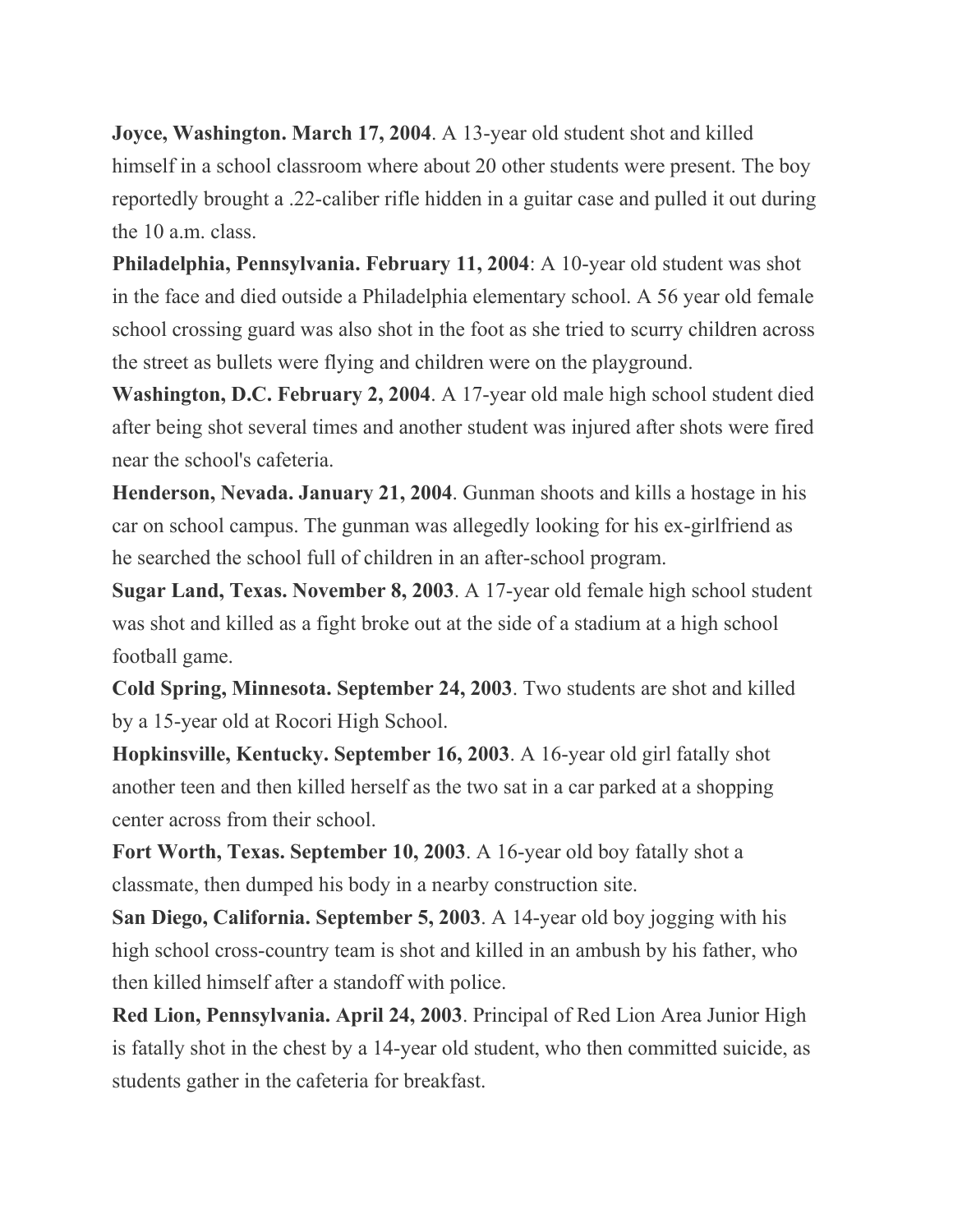**Joyce, Washington. March 17, 2004**. A 13-year old student shot and killed himself in a school classroom where about 20 other students were present. The boy reportedly brought a .22-caliber rifle hidden in a guitar case and pulled it out during the 10 a.m. class.

**Philadelphia, Pennsylvania. February 11, 2004**: A 10-year old student was shot in the face and died outside a Philadelphia elementary school. A 56 year old female school crossing guard was also shot in the foot as she tried to scurry children across the street as bullets were flying and children were on the playground.

**Washington, D.C. February 2, 2004**. A 17-year old male high school student died after being shot several times and another student was injured after shots were fired near the school's cafeteria.

**Henderson, Nevada. January 21, 2004**. Gunman shoots and kills a hostage in his car on school campus. The gunman was allegedly looking for his ex-girlfriend as he searched the school full of children in an after-school program.

**Sugar Land, Texas. November 8, 2003**. A 17-year old female high school student was shot and killed as a fight broke out at the side of a stadium at a high school football game.

**Cold Spring, Minnesota. September 24, 2003**. Two students are shot and killed by a 15-year old at Rocori High School.

**Hopkinsville, Kentucky. September 16, 2003**. A 16-year old girl fatally shot another teen and then killed herself as the two sat in a car parked at a shopping center across from their school.

**Fort Worth, Texas. September 10, 2003**. A 16-year old boy fatally shot a classmate, then dumped his body in a nearby construction site.

**San Diego, California. September 5, 2003**. A 14-year old boy jogging with his high school cross-country team is shot and killed in an ambush by his father, who then killed himself after a standoff with police.

**Red Lion, Pennsylvania. April 24, 2003**. Principal of Red Lion Area Junior High is fatally shot in the chest by a 14-year old student, who then committed suicide, as students gather in the cafeteria for breakfast.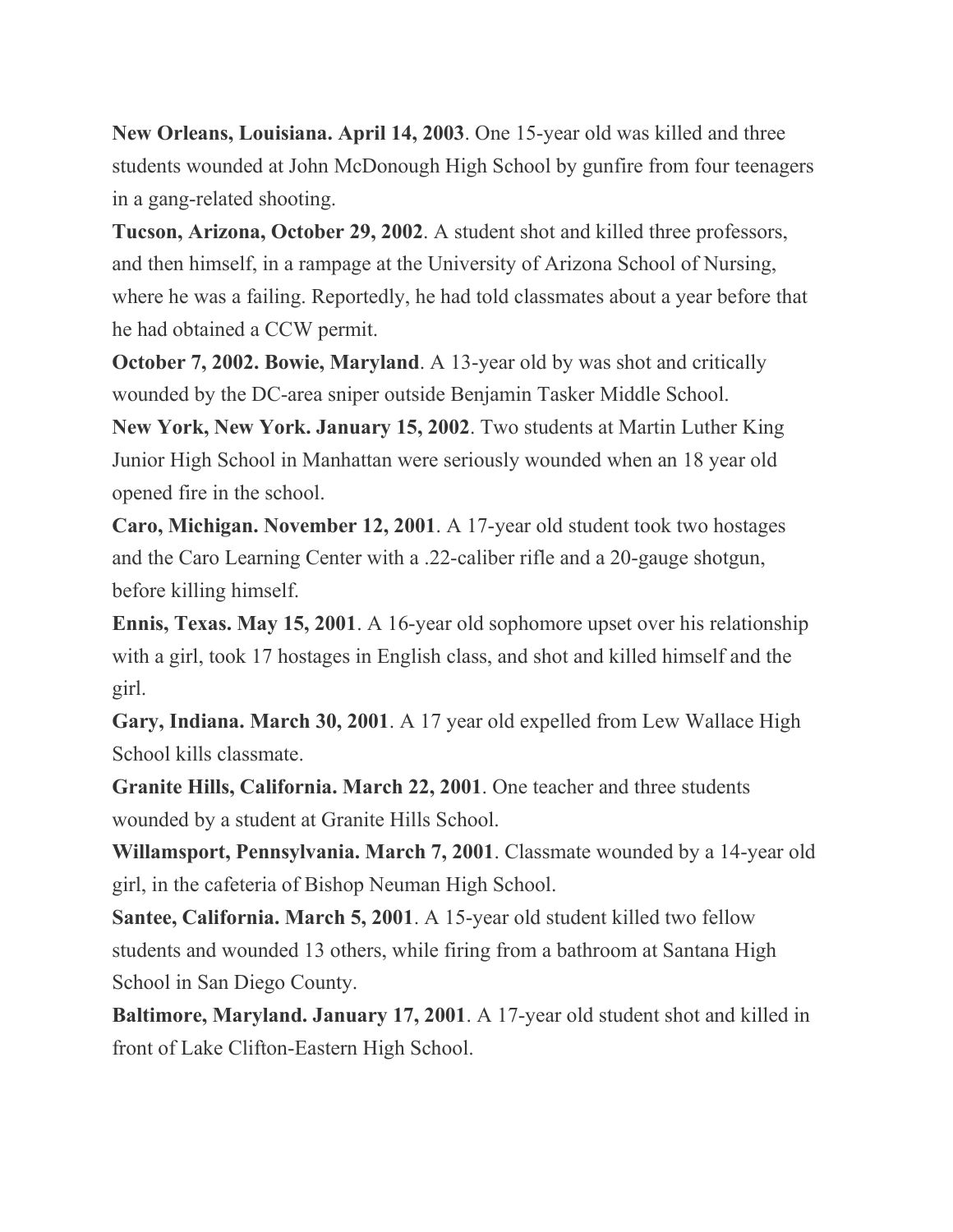**New Orleans, Louisiana. April 14, 2003**. One 15-year old was killed and three students wounded at John McDonough High School by gunfire from four teenagers in a gang-related shooting.

**Tucson, Arizona, October 29, 2002**. A student shot and killed three professors, and then himself, in a rampage at the University of Arizona School of Nursing, where he was a failing. Reportedly, he had told classmates about a year before that he had obtained a CCW permit.

**October 7, 2002. Bowie, Maryland**. A 13-year old by was shot and critically wounded by the DC-area sniper outside Benjamin Tasker Middle School.

**New York, New York. January 15, 2002**. Two students at Martin Luther King Junior High School in Manhattan were seriously wounded when an 18 year old opened fire in the school.

**Caro, Michigan. November 12, 2001**. A 17-year old student took two hostages and the Caro Learning Center with a .22-caliber rifle and a 20-gauge shotgun, before killing himself.

**Ennis, Texas. May 15, 2001**. A 16-year old sophomore upset over his relationship with a girl, took 17 hostages in English class, and shot and killed himself and the girl.

**Gary, Indiana. March 30, 2001**. A 17 year old expelled from Lew Wallace High School kills classmate.

**Granite Hills, California. March 22, 2001**. One teacher and three students wounded by a student at Granite Hills School.

**Willamsport, Pennsylvania. March 7, 2001**. Classmate wounded by a 14-year old girl, in the cafeteria of Bishop Neuman High School.

**Santee, California. March 5, 2001**. A 15-year old student killed two fellow students and wounded 13 others, while firing from a bathroom at Santana High School in San Diego County.

**Baltimore, Maryland. January 17, 2001**. A 17-year old student shot and killed in front of Lake Clifton-Eastern High School.